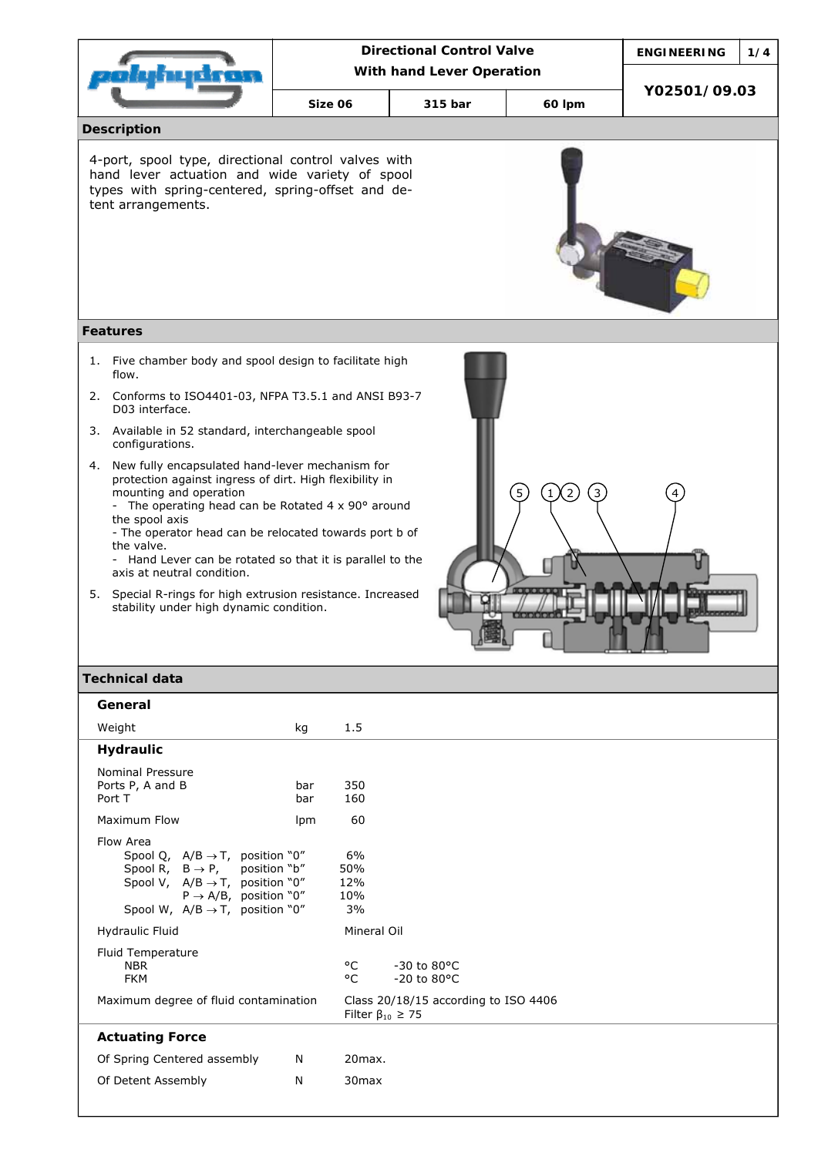|                                                                                                                                                                                                                                                                                                                                                                                                                                                                                                             |                           | <b>Directional Control Valve</b> |                                        | <b>ENGINEERING</b> | 1/4                                              |              |  |
|-------------------------------------------------------------------------------------------------------------------------------------------------------------------------------------------------------------------------------------------------------------------------------------------------------------------------------------------------------------------------------------------------------------------------------------------------------------------------------------------------------------|---------------------------|----------------------------------|----------------------------------------|--------------------|--------------------------------------------------|--------------|--|
|                                                                                                                                                                                                                                                                                                                                                                                                                                                                                                             | With hand Lever Operation |                                  |                                        |                    |                                                  |              |  |
|                                                                                                                                                                                                                                                                                                                                                                                                                                                                                                             | Size 06                   | 315 bar                          |                                        |                    | 60 lpm                                           | Y02501/09.03 |  |
| <b>Description</b>                                                                                                                                                                                                                                                                                                                                                                                                                                                                                          |                           |                                  |                                        |                    |                                                  |              |  |
| 4-port, spool type, directional control valves with<br>hand lever actuation and wide variety of spool<br>types with spring-centered, spring-offset and de-<br>tent arrangements.                                                                                                                                                                                                                                                                                                                            |                           |                                  |                                        |                    |                                                  |              |  |
| <b>Features</b>                                                                                                                                                                                                                                                                                                                                                                                                                                                                                             |                           |                                  |                                        |                    |                                                  |              |  |
| Five chamber body and spool design to facilitate high<br>1.<br>flow.                                                                                                                                                                                                                                                                                                                                                                                                                                        |                           |                                  |                                        |                    |                                                  |              |  |
| 2. Conforms to ISO4401-03, NFPA T3.5.1 and ANSI B93-7<br>D03 interface.                                                                                                                                                                                                                                                                                                                                                                                                                                     |                           |                                  |                                        |                    |                                                  |              |  |
| 3. Available in 52 standard, interchangeable spool<br>configurations.                                                                                                                                                                                                                                                                                                                                                                                                                                       |                           |                                  |                                        |                    |                                                  |              |  |
| New fully encapsulated hand-lever mechanism for<br>4.<br>protection against ingress of dirt. High flexibility in<br>mounting and operation<br>- The operating head can be Rotated $4 \times 90^\circ$ around<br>the spool axis<br>- The operator head can be relocated towards port b of<br>the valve.<br>- Hand Lever can be rotated so that it is parallel to the<br>axis at neutral condition.<br>5. Special R-rings for high extrusion resistance. Increased<br>stability under high dynamic condition. |                           |                                  |                                        | $\left[5\right]$   | $\left( 2\right)$<br>$\left 1\right\rangle$<br>3 |              |  |
| <b>Technical data</b>                                                                                                                                                                                                                                                                                                                                                                                                                                                                                       |                           |                                  |                                        |                    |                                                  |              |  |
| General                                                                                                                                                                                                                                                                                                                                                                                                                                                                                                     |                           |                                  |                                        |                    |                                                  |              |  |
| Weight                                                                                                                                                                                                                                                                                                                                                                                                                                                                                                      | kg                        | 1.5                              |                                        |                    |                                                  |              |  |
| Hydraulic<br><b>Nominal Pressure</b><br>Ports P, A and B<br>Port T                                                                                                                                                                                                                                                                                                                                                                                                                                          | bar<br>bar                | 350<br>160                       |                                        |                    |                                                  |              |  |
| Maximum Flow                                                                                                                                                                                                                                                                                                                                                                                                                                                                                                | lpm                       | 60                               |                                        |                    |                                                  |              |  |
| Flow Area<br>Spool Q, $A/B \rightarrow T$ , position "0"<br>Spool R, $B \rightarrow P$ ,<br>Spool V, $A/B \rightarrow T$ , position "0"<br>$P \rightarrow A/B$ , position "0"<br>Spool W, $A/B \rightarrow T$ , position "0"                                                                                                                                                                                                                                                                                | position "b"              | 6%<br>50%<br>12%<br>10%<br>3%    |                                        |                    |                                                  |              |  |
| Hydraulic Fluid                                                                                                                                                                                                                                                                                                                                                                                                                                                                                             |                           | Mineral Oil                      |                                        |                    |                                                  |              |  |
| Fluid Temperature<br><b>NBR</b><br><b>FKM</b>                                                                                                                                                                                                                                                                                                                                                                                                                                                               |                           | °C<br>°C                         | -30 to 80°C<br>$-20$ to $80^{\circ}$ C |                    |                                                  |              |  |
| Maximum degree of fluid contamination                                                                                                                                                                                                                                                                                                                                                                                                                                                                       |                           | Filter $\beta_{10} \geq 75$      | Class 20/18/15 according to ISO 4406   |                    |                                                  |              |  |
| <b>Actuating Force</b>                                                                                                                                                                                                                                                                                                                                                                                                                                                                                      |                           |                                  |                                        |                    |                                                  |              |  |

Of Spring Centered assembly  $N = 20$ max. Of Detent Assembly M 30max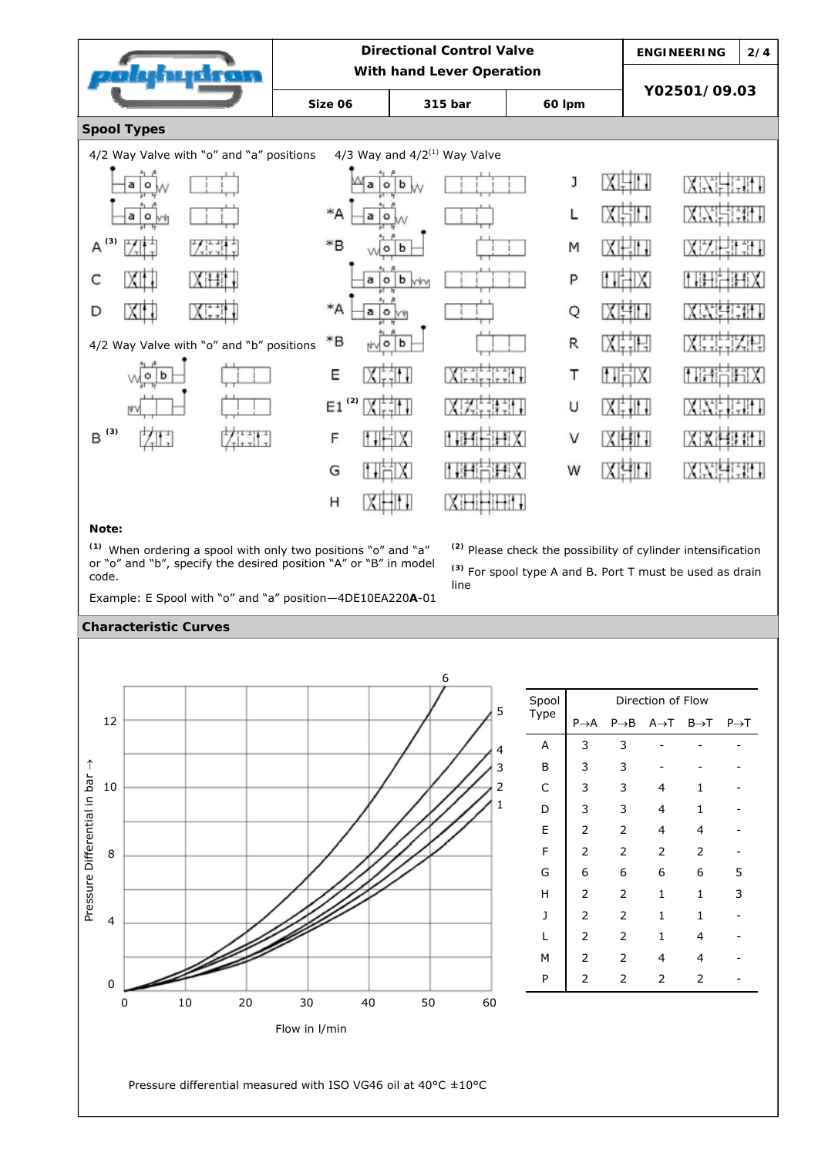

## **Note:**

**(1)** When ordering a spool with only two positions "o" and "a" or "o" and "b", specify the desired position "A" or "B" in model code.

**(2)** Please check the possibility of cylinder intensification **(3)** For spool type A and B. Port T must be used as drain line



## **Characteristic Curves**

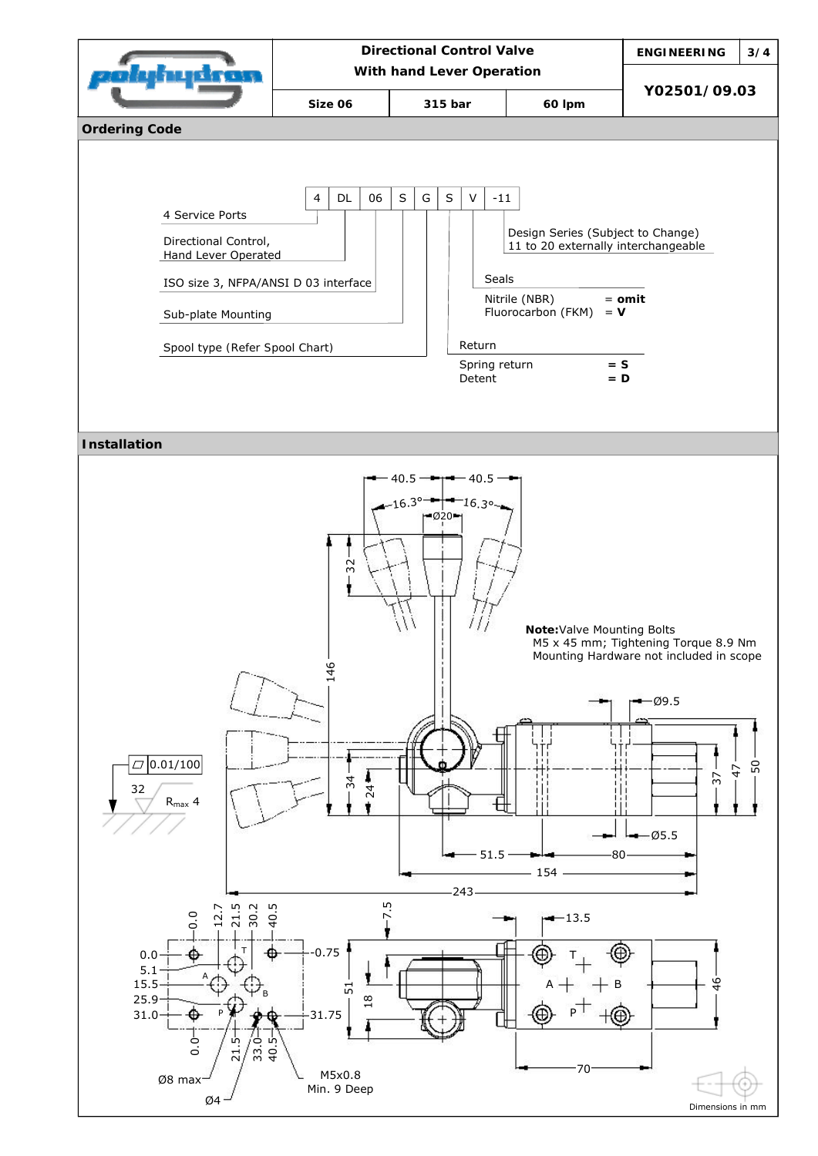